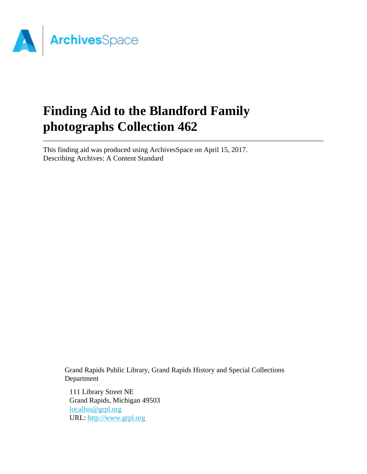

# **Finding Aid to the Blandford Family photographs Collection 462**

This finding aid was produced using ArchivesSpace on April 15, 2017. Describing Archives: A Content Standard

> Grand Rapids Public Library, Grand Rapids History and Special Collections Department

111 Library Street NE Grand Rapids, Michigan 49503 [localhis@grpl.org](mailto:localhis@grpl.org) URL:<http://www.grpl.org>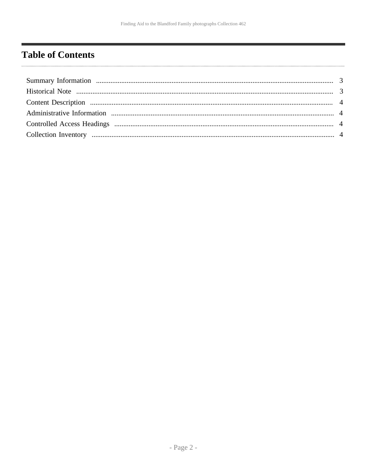# <span id="page-1-0"></span>**Table of Contents**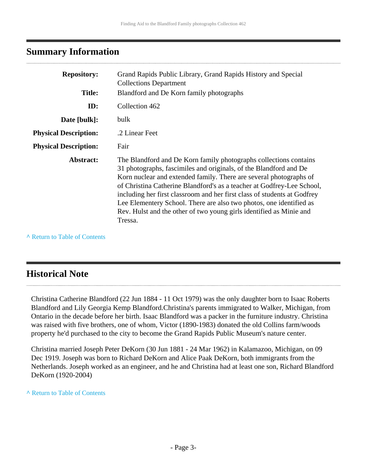## <span id="page-2-0"></span>**Summary Information**

| <b>Repository:</b><br><b>Title:</b> | Grand Rapids Public Library, Grand Rapids History and Special<br><b>Collections Department</b><br>Blandford and De Korn family photographs                                                                                                                                                                                                                                                                                                                                                                                  |  |
|-------------------------------------|-----------------------------------------------------------------------------------------------------------------------------------------------------------------------------------------------------------------------------------------------------------------------------------------------------------------------------------------------------------------------------------------------------------------------------------------------------------------------------------------------------------------------------|--|
| ID:                                 | Collection 462                                                                                                                                                                                                                                                                                                                                                                                                                                                                                                              |  |
| Date [bulk]:                        | bulk                                                                                                                                                                                                                                                                                                                                                                                                                                                                                                                        |  |
| <b>Physical Description:</b>        | .2 Linear Feet                                                                                                                                                                                                                                                                                                                                                                                                                                                                                                              |  |
| <b>Physical Description:</b>        | Fair                                                                                                                                                                                                                                                                                                                                                                                                                                                                                                                        |  |
| Abstract:                           | The Blandford and De Korn family photographs collections contains<br>31 photographs, fascimiles and originals, of the Blandford and De<br>Korn nuclear and extended family. There are several photographs of<br>of Christina Catherine Blandford's as a teacher at Godfrey-Lee School,<br>including her first classroom and her first class of students at Godfrey<br>Lee Elementery School. There are also two photos, one identified as<br>Rev. Hulst and the other of two young girls identified as Minie and<br>Tressa. |  |

**^** [Return to Table of Contents](#page-1-0)

## <span id="page-2-1"></span>**Historical Note**

Christina Catherine Blandford (22 Jun 1884 - 11 Oct 1979) was the only daughter born to Isaac Roberts Blandford and Lily Georgia Kemp Blandford.Christina's parents immigrated to Walker, Michigan, from Ontario in the decade before her birth. Isaac Blandford was a packer in the furniture industry. Christina was raised with five brothers, one of whom, Victor (1890-1983) donated the old Collins farm/woods property he'd purchased to the city to become the Grand Rapids Public Museum's nature center.

Christina married Joseph Peter DeKorn (30 Jun 1881 - 24 Mar 1962) in Kalamazoo, Michigan, on 09 Dec 1919. Joseph was born to Richard DeKorn and Alice Paak DeKorn, both immigrants from the Netherlands. Joseph worked as an engineer, and he and Christina had at least one son, Richard Blandford DeKorn (1920-2004)

#### **^** [Return to Table of Contents](#page-1-0)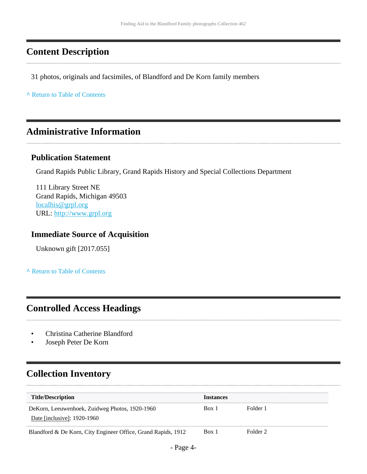## <span id="page-3-0"></span>**Content Description**

31 photos, originals and facsimiles, of Blandford and De Korn family members

**^** [Return to Table of Contents](#page-1-0)

## <span id="page-3-1"></span>**Administrative Information**

#### **Publication Statement**

Grand Rapids Public Library, Grand Rapids History and Special Collections Department

111 Library Street NE Grand Rapids, Michigan 49503 [localhis@grpl.org](mailto:localhis@grpl.org) URL:<http://www.grpl.org>

#### **Immediate Source of Acquisition**

Unknown gift [2017.055]

**^** [Return to Table of Contents](#page-1-0)

### <span id="page-3-2"></span>**Controlled Access Headings**

- Christina Catherine Blandford
- Joseph Peter De Korn

# <span id="page-3-3"></span>**Collection Inventory**

| <b>Title/Description</b>                                                      | <b>Instances</b> |          |
|-------------------------------------------------------------------------------|------------------|----------|
| DeKorn, Leeuwenhoek, Zuidweg Photos, 1920-1960<br>Date [inclusive]: 1920-1960 | Box 1            | Folder 1 |
| Blandford & De Korn, City Engineer Office, Grand Rapids, 1912                 | Box 1            | Folder 2 |